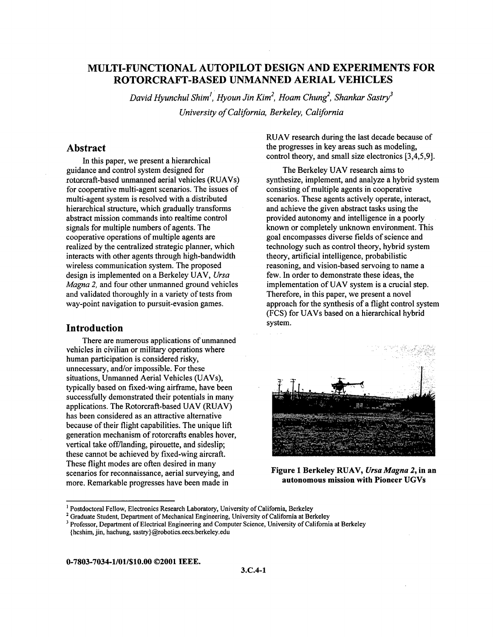# **MULTI-FUNCTIONAL AUTOPILOT DESIGN AND EXPERIMENTS FOR ROTORCRAFT-BASED UNMANNED AERIAL VEHICLES**

*David Hyunchul Shim', Hyoun Jin Kim', Hoam Chung', Shankur Sastry3 University of California, Berkeley, California* 

## **Abstract**

In this paper, we present a hierarchical guidance and control system designed for rotorcraft-based unmanned aerial vehicles (RUAVs) for cooperative multi-agent scenarios. The issues of multi-agent system is resolved with a distributed hierarchical structure, which gradually transforms abstract mission commands into realtime control signals for multiple numbers of agents. The cooperative operations of multiple agents are realized by the centralized strategic planner, which interacts with other agents through high-bandwidth wireless communication system. The proposed design is implemented on a Berkeley UAV, *Ursa Magna* 2, and four other unmanned ground vehicles and validated thoroughly in a variety of tests from way-point navigation to pursuit-evasion games.

## **Introduction**

vehicles in civilian or military operations where human participation is considered risky, unnecessary, and/or impossible. For these situations, Unmanned Aerial Vehicles (UAVs), typically based on fixed-wing airframe, have been successfully demonstrated their potentials in many applications. The Rotorcraft-based UAV (RUAV) has been considered as an attractive alternative because of their flight capabilities. The unique lift generation mechanism of rotorcrafts enables hover, vertical take off/landing, pirouette, and sideslip; these cannot be achieved by fixed-wing aircraft. These flight modes are often desired in many scenarios for reconnaissance, aerial surveying, and more. Remarkable progresses have been made in There are numerous applications of unmanned RUAV research during the last decade because of the progresses in key areas such as modeling, control theory, and small size electronics **[3,4,5,9].** 

The Berkeley UAV research aims to synthesize, implement, and analyze a hybrid system consisting of multiple agents in cooperative scenarios. These agents actively operate, interact, and achieve the given abstract tasks using the provided autonomy and intelligence in a poorly known or completely unknown environment. This goal encompasses diverse fields of science and technology such as control theory, hybrid system theory, artificial intelligence, probabilistic reasoning, and vision-based servoing to name a few. In order to demonstrate these ideas, the implementation of UAV system is a crucial step. Therefore, in this paper, we present a novel approach for the synthesis of a flight control system (FCS) for UAVs based on a hierarchical hybrid system.



**Figure 1 Berkeley RUAV,** *Ursa Magna* **2, in an autonomous mission with Pioneer UGVs** 

**0-7803-7034-1/01/\$10.00 02001 IEEE.** 

<sup>&</sup>lt;sup>1</sup> Postdoctoral Fellow, Electronics Research Laboratory, University of California, Berkeley

<sup>&</sup>lt;sup>2</sup> Graduate Student, Department of Mechanical Engineering, University of California at Berkeley

<sup>&</sup>lt;sup>3</sup> Professor, Department of Electrical Engineering and Computer Science, University of California at Berkeley

<sup>{</sup> hcshim, jin, hachung, **[sastry}@robotics.eecs.berkeley.edu](mailto:sastry}@robotics.eecs.berkeley.edu)**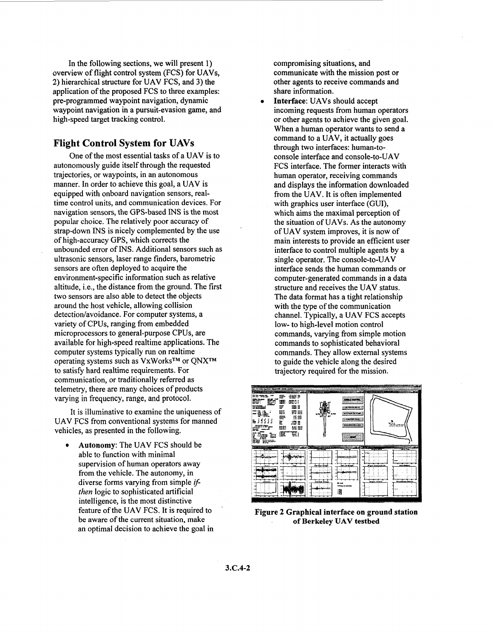In the following sections, we will present **1)**  overview of flight control system (FCS) for UAVs, **2)** hierarchical structure for UAV FCS, and **3)** the application of the proposed FCS to three examples: pre-programmed waypoint navigation, dynamic waypoint navigation in a pursuit-evasion game, and high-speed target tracking control.

## **Flight Control System for UAVs**

autonomously guide itself through the requested trajectories, or waypoints, in an autonomous manner. In order to achieve this goal, a UAV is equipped with onboard navigation sensors, realtime control units, and communication devices. For navigation sensors, the GPS-based **INS** is the most popular choice. The relatively poor accuracy of strap-down **INS** is nicely complemented by the use of high-accuracy **GPS,** which corrects the unbounded error of **INS.** Additional sensors such as ultrasonic sensors, laser range finders, barometric sensors are often deployed to acquire the environment-specific information such as relative altitude, i.e., the distance from the ground. The first two sensors are also able to detect the objects around the host vehicle, allowing collision detection/avoidance. For computer systems, a variety of CPUs, ranging from embedded microprocessors to general-purpose CPUs, are available for high-speed realtime applications. The computer systems typically run on realtime operating systems such as VxWorksTM or **QNXTM**  to satisfy hard realtime requirements. For communication, or traditionally referred as telemetry, there are many choices of products varying in frequency, range, and protocol. One of the most essential tasks of a UAV is to

UAV FCS from conventional systems for manned vehicles, as presented in the following. It is illuminative to examine the uniqueness of

*<sup>0</sup>***Autonomy:** The UAV FCS should be able to function with minimal supervision of human operators away from the vehicle. The autonomy, in diverse forms varying from simple *if then* logic to sophisticated artificial intelligence, is the most distinctive feature of the UAV FCS. It is required to be aware of the current situation, make an optimal decision to achieve the goal in compromising situations, and communicate with the mission post or other agents to receive commands and share information.

incoming requests from human operators or other agents to achieve the given goal. When a human operator wants to send a command to a UAV, it actually goes through two interfaces: human-toconsole interface and console-to-UAV FCS interface. The former interacts with human operator, receiving commands and displays the information downloaded from the UAV. It is often implemented with graphics user interface (GUI), which aims the maximal perception of the situation of UAVs. As the autonomy of UAV system improves, it is now of main interests to provide an efficient user interface to control multiple agents by a single operator. The console-to-UAV interface sends the human commands or computer-generated commands in a data structure and receives the UAV status. The data format has a tight relationship with the type of the communication channel. Typically, a UAV FCS accepts low- to high-level motion control commands, varying from simple motion commands to sophisticated behavioral commands. They allow external systems to guide the vehicle along the desired trajectory required for the mission. Interface: UAVs should accept



**Figure 2 Graphical interface on ground station**  . **of Berkeley UAV testbed**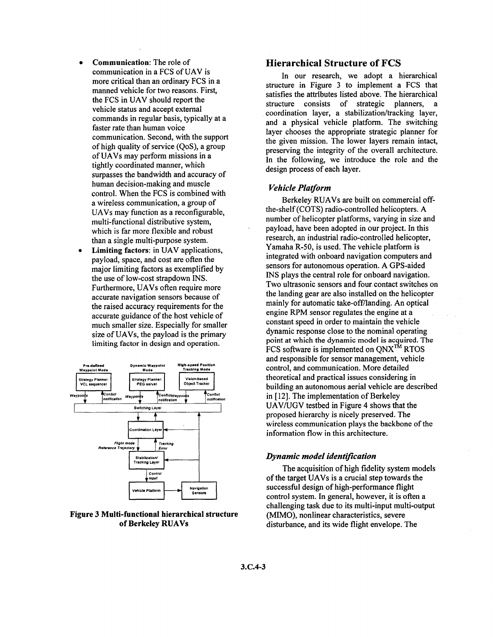- *0* **Communication:** The role of communication in a FCS of UAV is more critical than an ordinary FCS in a manned vehicle for two reasons. Firsf the FCS in UAV should report the vehicle status and accept external commands in regular basis, typically at a faster rate than human voice communication. Second, with the support of high quality of service (QoS), a group of UAVs may perform missions in a tightly coordinated manner, which surpasses the bandwidth and accuracy of human decision-making and muscle control. When the FCS is combined with a wireless communication, a group of UAVs may function as a reconfigurable, multi-functional distributive system, which is far more flexible and robust than a single multi-purpose system.
- **Limiting factors:** in UAV applications, payload, space, and cost are often the major limiting factors as exemplified by the use of low-cost strapdown **INS.**  Furthermore, UAVs often require more accurate navigation sensors because of the raised accuracy requirements for the accurate guidance of the host vehicle of much smaller size. Especially for smaller size of UAVs, the payload is the primary limiting factor in design and operation. *0*



**Figure 3 Multi-functional hierarchical structure of Berkeley RUAVs** 

## **Hierarchical Structure of FCS**

In our research, we adopt a hierarchical structure in Figure 3 to implement a FCS that satisfies the attributes listed above. The hierarchical structure consists of strategic planners, a coordination layer, a stabilization/tracking layer, and a physical vehicle platform. The switching layer chooses the appropriate strategic planner for the given mission. The lower layers remain intact, preserving the integrity of the overall architecture. In the following, we introduce the role and the design process of each layer.

### *Vehicle Platform*

Berkeley RUAVs are built on commercial offthe-shelf (COTS) radio-controlled helicopters. A number of helicopter platforms, varying in size and payload, have been adopted in our project. In this research, an industrial radio-controlled helicopter, Yamaha R-50, is used. The vehicle platform is integrated with onboard navigation computers and sensors for autonomous operation. A GPS-aided INS plays the central role for onboard navigation. Two ultrasonic sensors and four contact switches on the landing gear are also installed on the helicopter mainly for automatic take-off/landing. An optical engine RPM sensor regulates the engine at a constant speed in order to maintain the vehicle dynamic response close to the nominal operating point at which the dynamic model is acquired. The FCS software is implemented on  $\text{ONX}^{\text{TM}}$  RTOS and responsible for sensor management, vehicle control, and communication. More detailed theoretical and practical issues considering in building an autonomous aerial vehicle are described in [ **121.** The implementation of Berkeley UAVNGV testbed in [Figure](#page-3-0) **4** shows that the proposed hierarchy is nicely preserved. The wireless communication plays the backbone of the information flow in this architecture.

#### *Dynamic model identification*

of the target UAVs is a crucial step towards the successful design of high-performance flight control system. In general, however, it is often a challenging task due to its multi-input multi-output (MIMO), nonlinear characteristics, severe disturbance, and its wide flight envelope. The The acquisition of high fidelity system models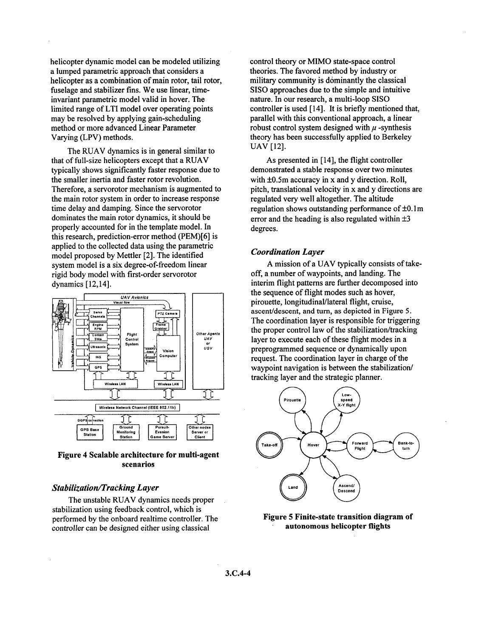<span id="page-3-0"></span>helicopter dynamic model can be modeled utilizing a lumped parametric approach that considers a helicopter as a combination of main rotor, tail rotor, fuselage and stabilizer fins. We use linear, timeinvariant parametric model valid in hover. The limited range of LTI model over operating points may **be** resolved by applying gain-scheduling method or more advanced Linear Parameter Varying (LPV) methods.

that of full-size helicopters except that a RUAV typically shows significantly faster response due to the smaller inertia and faster rotor revolution. Therefore, a servorotor mechanism is augmented to the main rotor system in order to increase response time delay and damping. Since the servorotor dominates the main rotor dynamics, it should be properly accounted for in the template model. In this research, prediction-error method (PEM)[6] is applied to the collected data using the parametric model proposed by Mettler [2]. The identified system model is a six degree-of-freedom linear rigid body model with first-order servorotor dynamics [12,14]. The RUAV dynamics is in general similar to



### **Figure 4 Scalable architecture for multi-agent scenarios**

#### *StabilizatiodTracking Layer*

stabilization using feedback control, which is performed by the onboard realtime controller. The controller can be designed either using classical The unstable RUAV dynamics needs proper

control theory or MIMO state-space control theories. The favored method by industry or military community is dominantly the classical SISO approaches due to the simple and intuitive nature. In our research, a multi-loop SISO controller is used [ 141. It is briefly mentioned that, parallel with this conventional approach, a linear robust control system designed with  $\mu$ -synthesis theory has been successfully applied to Berkeley UAV [12].

demonstrated a stable response over two minutes with  $\pm 0.5$ m accuracy in x and y direction. Roll, pitch, translational velocity in **x** and y directions are regulated very well altogether. The altitude regulation shows outstanding performance of **k0.** lm error and the heading is also regulated within  $\pm 3$ degrees. As presented in  $[14]$ , the flight controller

#### *Coordination Layer*

off, a number of waypoints, and landing. The interim flight patterns are further decomposed into the sequence of flight modes such as hover, pirouette, 1ongitudinaVlateral flight, cruise, ascenddescent, and **turn,** as depicted in **Figure** *5.*  The coordination layer is responsible for triggering the proper control law of the stabilization/tracking layer to execute each of these flight modes in a preprogrammed sequence or dynamically upon request. The coordination layer in charge of the waypoint navigation is between the stabilization/ tracking layer and the strategic planner. A mission of a UAV typically consists of take-



### **Figure 5 Finite-state transition diagram of autonomous helicopter flights**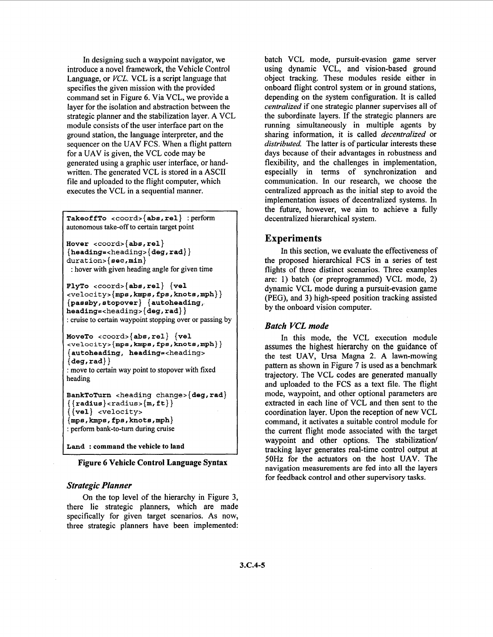In designing such a waypoint navigator, we introduce a novel framework, the Vehicle Control Language, or VCL. VCL is a script language that specifies the given mission with the provided command set in Figure 6. Via VCL, we provide a layer for the isolation and abstraction between the strategic planner and the stabilization layer. A VCL module consists of the user interface part on the ground station, the language interpreter, and the sequencer on the UAV FCS. When a flight pattern for a UAV is given, the VCL code may be generated using a graphic user interface, or handwritten. The generated VCL is stored in a ASCII file and uploaded to the flight computer, which executes the VCL in a sequential manner.

**Takeof fTo <coord>** { **abs, rel}** : perform autonomous take-off to certain target point

```
Hover <coord>{abs,rel} 
{heading=cheading>{deg,rad}} 
duration>{sec,min} 
: hover with given heading angle for given time
```

```
FlyTo <coord>{abs,rel} {vel 
<velocity>{mps,kmps,fps,knote,mph}} 
{passby,stopover} {autoheading, 
heading=<headings{deg,rad}} 
: cruise to certain waypoint stopping over or passing by
```

```
MoveTo <coord>{abs,rel} {vel 
cvelocityz{mps,kmps,fps,knots,mph}} 
{autoheading, heading=<heading>
{ deg, rad} } 
: move to certain way point to stopover with fixed
```

```
BankToTurn cheading change>{deg,rad} 
\{ \{ \text{radius} \} \times \text{radius} \}{{vel} <velocity> 
{mps,kmps,fps,knots,mph} 
: perform bank-to-turn during cruise
```
**Land** : **command the vehicle to land** 

**Figure 6 Vehicle Control Language Syntax** 

### *Strategic Planner*

heading

On the top level of the hierarchy in Figure 3, there lie strategic planners, which are made specifically for given target scenarios. As now, three strategic planners have been implemented: batch VCL mode, pursuit-evasion game server using dynamic VCL, and vision-based ground object tracking. These modules reside either in onboard flight control system or in ground stations, depending on the system configuration. It is called *centralized* if one strategic planner supervises all of the subordinate layers. If the strategic planners are running simultaneously in multiple agents by sharing information, it is called *decentrdized* or *distributed.* The latter is of particular interests these days because of their advantages in robustness and flexibility, and the challenges in implementation, especially in terms of synchronization and communication. In our research, we choose the centralized approach as the initial step to avoid the implementation issues of decentralized systems. In the future, however, we aim to achieve a fully decentralized hierarchical system.

## **Experiments**

In this section, we evaluate the effectiveness of the proposed hierarchical FCS in a series of test flights of three distinct scenarios. Three examples are: 1) batch (or preprogrammed) VCL mode, 2) dynamic VCL mode during a pursuit-evasion game (PEG), and 3) high-speed position tracking assisted by the onboard vision computer.

#### *Batch VCL mode*

In this mode, the VCL execution module assumes the highest hierarchy on the guidance of the test UAV, Ursa Magna 2. A lawn-mowing pattern as shown in [Figure 7](#page-5-0) is used as a benchmark trajectory. The VCL codes are generated manually and uploaded to the FCS as a text file. The flight mode, waypoint, and other optional parameters are extracted in each line of VCL and then sent to the coordination layer. Upon the reception of new VCL command, it activates a suitable control module for the current flight mode associated with the target waypoint and other options. The stabilization/ tracking layer generates real-time control output at **50Hz** for the actuators on the host UAV. The navigation measurements are fed into all the layers for feedback control and other supervisory tasks.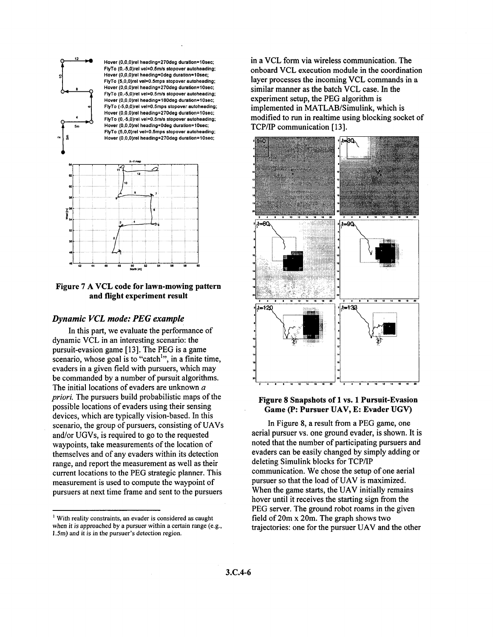<span id="page-5-0"></span>



### **Figure 7 A VCL code for lawn-mowing pattern and flight experiment result**

### *Dynamic VCL mode: PEG example*

dynamic VCL in an interesting scenario: the pursuit-evasion game [13]. The PEG is a game scenario, whose goal is to "catch", in a finite time, evaders in a given field with pursuers, which may be commanded by a number of pursuit algorithms. The initial locations of evaders are unknown *a priori.* The pursuers build probabilistic maps of the possible locations of evaders using their sensing devices, which are typically vision-based. In this scenario, the group of pursuers, consisting of UAVs and/or UGVs, is required to go to the requested waypoints, take measurements of the location of themselves and of any evaders within its detection range, and report the measurement as well as their current locations to the PEG strategic planner. This measurement is used to compute the waypoint of pursuers at next time frame and sent to the pursuers In this **part,** we evaluate the performance of

in a VCL form via wireless communication. The onboard VCL execution module in the coordination layer processes the incoming VCL commands in a similar manner as the batch VCL case. In the experiment setup, the PEG algorithm is implemented in MATLAB/Simulink, which is modified to run in realtime using blocking socket **of**  TCP/IP communication [13].



### **Figure 8 Snapshots of 1 vs. 1 Pursuit-Evasion Game** (P: **Pursuer UAV, E: Evader UGV)**

In Figure **8,** a result from a PEG game, one aerial pursuer **vs.** one ground evader, is shown. It is noted that the number of participating pursuers and evaders can be easily changed by simply adding or deleting Simulink blocks for TCPAP communication. We chose the setup of one aerial pursuer so that the load of UAV **is** maximized. When the game starts, the UAV initially remains hover until it receives the starting sign from the PEG server. The ground robot roams in the given field of 20m x 20m. The graph shows two trajectories: one for the pursuer UAV and the other

<sup>&#</sup>x27; With reality constraints, an evader is considered **as** caught when it is approached by a pursuer within a certain range (e.g., *1.5m)* and it is in the pursuer's detection region.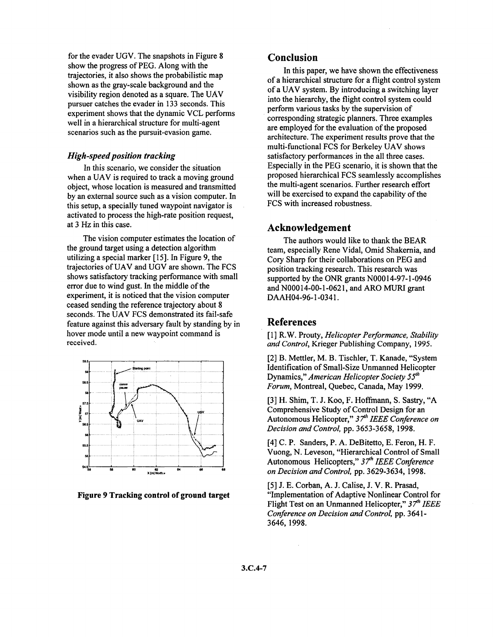for the evader UGV. The snapshots in [Figure 8](#page-5-0) show the progress of PEG. Along with the trajectories, it also shows the probabilistic map shown as the gray-scale background and the visibility region denoted as a square. The UAV pursuer catches the evader in 133 seconds. This experiment shows that the dynamic VCL performs well in a hierarchical structure for multi-agent scenarios such as the pursuit-evasion game.

### *High-speed position tracking*

In this scenario, we consider the situation when a UAV is required to track a moving ground object, whose location is measured and transmitted by an external source such as a vision computer. In this setup, a specially tuned waypoint navigator is activated to process the high-rate position request, at 3 *Hz* in this case.

The vision computer estimates the location of the ground target using a detection algorithm utilizing a special marker [15]. In Figure 9, the trajectories of UAV and UGV are shown. The FCS shows satisfactory tracking performance with small error due to wind gust. In the middle of the experiment, it is noticed that the vision computer ceased sending the reference trajectory about 8 seconds. The UAV FCS demonstrated its fail-safe feature against this adversary fault by standing by in hover mode until a new waypoint command is received.



**Figure 9 Tracking control of ground target** 

## **Conclusion**

In this paper, we have shown the effectiveness of a hierarchical structure for a flight control system of a UAV system. By introducing a switching layer into the hierarchy, the flight control system could perform various **tasks** by the supervision of corresponding strategic planners. Three examples are employed for the evaluation of the proposed architecture. The experiment results prove that the multi-functional FCS for Berkeley UAV shows satisfactory performances in the all three cases. Especially in the PEG scenario, it is shown that the proposed hierarchical FCS seamlessly accomplishes the multi-agent scenarios. Further research effort will be exercised to expand the capability of the FCS with increased robustness.

## **Acknowledgement**

The authors would like to thank the BEAR team, especially Rene Vidal, Omid Shakernia, and Cory Sharp for their collaborations on PEG and position tracking research. This research was supported by the ONR grants **NO00** 14-97-1-0946 and **NO00** 14-00-1 -062 1 , and ARO MURI grant DAAH04-96-1-0341.

## **References**

[ 11 R.W. Prouty, *Helicopter Performance, Stability and Control,* Krieger Publishing Company, 1995.

[2] B. Mettler, M. B. Tischler, T. Kanade, "System Identification of Small-Size Unmanned Helicopter Dynamics," *American Helicopter Society 5jth Forum,* Montreal, Quebec, Canada, May 1999.

[3] H. Shim, T. J. Koo, F. Hoffmann, *S.* Sastry, **"A**  Comprehensive Study of Control Design for an Autonomous Helicopter," 3 *Yh IEEE Conference on Decision and Control,* pp. 3653-3658, 1998.

[4] C. P. Sanders, P. A. DeBitetto, E. Feron, H. F. Vuong, N. Leveson, "Hierarchical Control of Small Autonomous Helicopters," 3 *Th* IEEE *Conference on Decision and Control,* pp. 3629-3634, 1998.

[5] J. E. Corban, A. J. Calise, J. V. R. Prasad, "Implementation of Adaptive Nonlinear Control for Flight Test on an Unmanned Helicopter," *3Yh IEEE Conference on Decision and Control,* pp. 364 1 - 3646,1998.